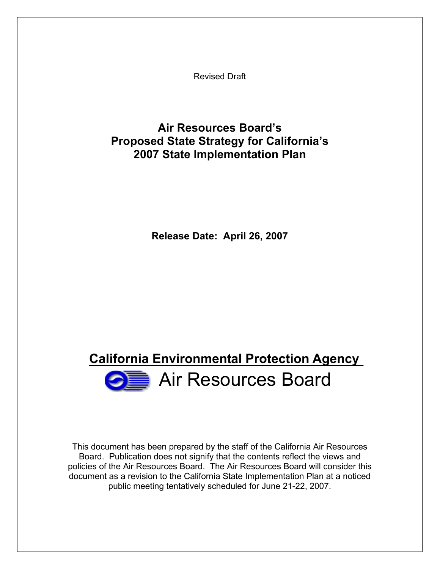Revised Draft

## **Air Resources Board's Proposed State Strategy for California's 2007 State Implementation Plan**

**Release Date: April 26, 2007** 

# Air Resources Board **California Environmental Protection Agency**

This document has been prepared by the staff of the California Air Resources Board. Publication does not signify that the contents reflect the views and policies of the Air Resources Board. The Air Resources Board will consider this document as a revision to the California State Implementation Plan at a noticed public meeting tentatively scheduled for June 21-22, 2007.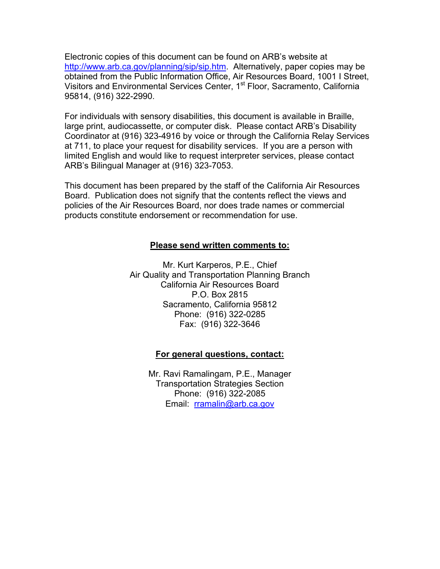Electronic copies of this document can be found on ARB's website at http://www.arb.ca.gov/planning/sip/sip.htm. Alternatively, paper copies may be obtained from the Public Information Office, Air Resources Board, 1001 I Street, Visitors and Environmental Services Center, 1<sup>st</sup> Floor, Sacramento, California 95814, (916) 322-2990.

For individuals with sensory disabilities, this document is available in Braille, large print, audiocassette, or computer disk. Please contact ARB's Disability Coordinator at (916) 323-4916 by voice or through the California Relay Services at 711, to place your request for disability services. If you are a person with limited English and would like to request interpreter services, please contact ARB's Bilingual Manager at (916) 323-7053.

This document has been prepared by the staff of the California Air Resources Board. Publication does not signify that the contents reflect the views and policies of the Air Resources Board, nor does trade names or commercial products constitute endorsement or recommendation for use.

#### **Please send written comments to:**

Mr. Kurt Karperos, P.E., Chief Air Quality and Transportation Planning Branch California Air Resources Board P.O. Box 2815 Sacramento, California 95812 Phone: (916) 322-0285 Fax: (916) 322-3646

#### **For general questions, contact:**

Mr. Ravi Ramalingam, P.E., Manager Transportation Strategies Section Phone: (916) 322-2085 Email: rramalin@arb.ca.gov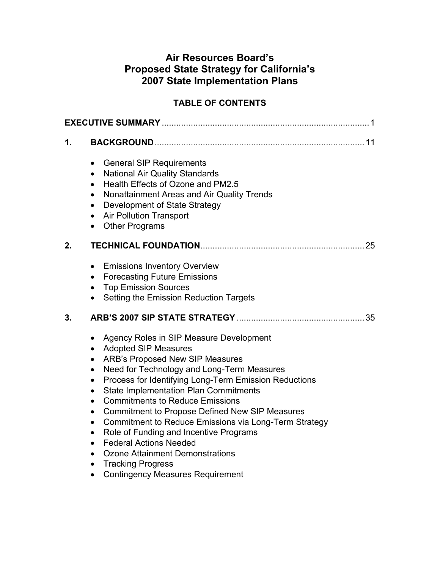## **Air Resources Board's Proposed State Strategy for California's 2007 State Implementation Plans**

### **TABLE OF CONTENTS**

| 1. |                                                                                                                                                                                                                                                                                                                                                                                                                                                                                                                                                                                                                                                                                                                                                            |
|----|------------------------------------------------------------------------------------------------------------------------------------------------------------------------------------------------------------------------------------------------------------------------------------------------------------------------------------------------------------------------------------------------------------------------------------------------------------------------------------------------------------------------------------------------------------------------------------------------------------------------------------------------------------------------------------------------------------------------------------------------------------|
|    | <b>General SIP Requirements</b><br>$\bullet$<br><b>National Air Quality Standards</b><br>$\bullet$<br>Health Effects of Ozone and PM2.5<br>$\bullet$<br>Nonattainment Areas and Air Quality Trends<br>$\bullet$<br>Development of State Strategy<br>$\bullet$<br><b>Air Pollution Transport</b><br>$\bullet$<br><b>Other Programs</b><br>$\bullet$                                                                                                                                                                                                                                                                                                                                                                                                         |
| 2. |                                                                                                                                                                                                                                                                                                                                                                                                                                                                                                                                                                                                                                                                                                                                                            |
|    | <b>Emissions Inventory Overview</b><br>$\bullet$<br><b>Forecasting Future Emissions</b><br>$\bullet$<br><b>Top Emission Sources</b><br>$\bullet$<br>Setting the Emission Reduction Targets                                                                                                                                                                                                                                                                                                                                                                                                                                                                                                                                                                 |
| 3. |                                                                                                                                                                                                                                                                                                                                                                                                                                                                                                                                                                                                                                                                                                                                                            |
|    | Agency Roles in SIP Measure Development<br>$\bullet$<br><b>Adopted SIP Measures</b><br>$\bullet$<br><b>ARB's Proposed New SIP Measures</b><br>$\bullet$<br>Need for Technology and Long-Term Measures<br>$\bullet$<br>Process for Identifying Long-Term Emission Reductions<br>$\bullet$<br><b>State Implementation Plan Commitments</b><br>$\bullet$<br><b>Commitments to Reduce Emissions</b><br>$\bullet$<br><b>Commitment to Propose Defined New SIP Measures</b><br>$\bullet$<br>Commitment to Reduce Emissions via Long-Term Strategy<br>$\bullet$<br>Role of Funding and Incentive Programs<br>$\bullet$<br><b>Federal Actions Needed</b><br>Ozone Attainment Demonstrations<br><b>Tracking Progress</b><br><b>Contingency Measures Requirement</b> |